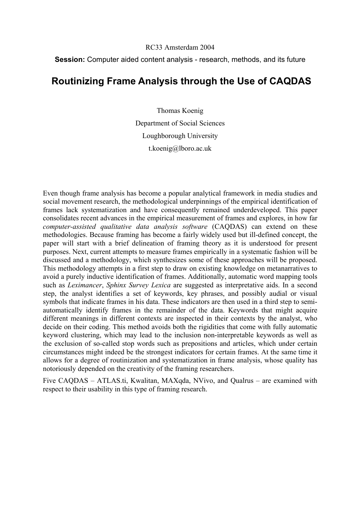## RC33 Amsterdam 2004

# **Session:** Computer aided content analysis - research, methods, and its future

# **Routinizing Frame Analysis through the Use of CAQDAS**

Thomas Koenig Department of Social Sciences Loughborough University t.koenig@lboro.ac.uk

Even though frame analysis has become a popular analytical framework in media studies and social movement research, the methodological underpinnings of the empirical identification of frames lack systematization and have consequently remained underdeveloped. This paper consolidates recent advances in the empirical measurement of frames and explores, in how far *computer-assisted qualitative data analysis software* (CAQDAS) can extend on these methodologies. Because framing has become a fairly widely used but ill-defined concept, the paper will start with a brief delineation of framing theory as it is understood for present purposes. Next, current attempts to measure frames empirically in a systematic fashion will be discussed and a methodology, which synthesizes some of these approaches will be proposed. This methodology attempts in a first step to draw on existing knowledge on metanarratives to avoid a purely inductive identification of frames. Additionally, automatic word mapping tools such as *Leximancer*, *Sphinx Survey Lexica* are suggested as interpretative aids. In a second step, the analyst identifies a set of keywords, key phrases, and possibly audial or visual symbols that indicate frames in his data. These indicators are then used in a third step to semiautomatically identify frames in the remainder of the data. Keywords that might acquire different meanings in different contexts are inspected in their contexts by the analyst, who decide on their coding. This method avoids both the rigidities that come with fully automatic keyword clustering, which may lead to the inclusion non-interpretable keywords as well as the exclusion of so-called stop words such as prepositions and articles, which under certain circumstances might indeed be the strongest indicators for certain frames. At the same time it allows for a degree of routinization and systematization in frame analysis, whose quality has notoriously depended on the creativity of the framing researchers.

Five CAQDAS – ATLAS.ti, Kwalitan, MAXqda, NVivo, and Qualrus – are examined with respect to their usability in this type of framing research.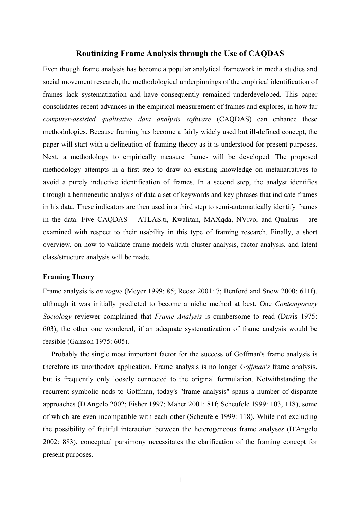# **Routinizing Frame Analysis through the Use of CAQDAS**

Even though frame analysis has become a popular analytical framework in media studies and social movement research, the methodological underpinnings of the empirical identification of frames lack systematization and have consequently remained underdeveloped. This paper consolidates recent advances in the empirical measurement of frames and explores, in how far *computer-assisted qualitative data analysis software* (CAQDAS) can enhance these methodologies. Because framing has become a fairly widely used but ill-defined concept, the paper will start with a delineation of framing theory as it is understood for present purposes. Next, a methodology to empirically measure frames will be developed. The proposed methodology attempts in a first step to draw on existing knowledge on metanarratives to avoid a purely inductive identification of frames. In a second step, the analyst identifies through a hermeneutic analysis of data a set of keywords and key phrases that indicate frames in his data. These indicators are then used in a third step to semi-automatically identify frames in the data. Five CAQDAS – ATLAS.ti, Kwalitan, MAXqda, NVivo, and Qualrus – are examined with respect to their usability in this type of framing research. Finally, a short overview, on how to validate frame models with cluster analysis, factor analysis, and latent class/structure analysis will be made.

## **Framing Theory**

Frame analysis is *en vogue* (Meyer 1999: 85; Reese 2001: 7; Benford and Snow 2000: 611f), although it was initially predicted to become a niche method at best. One *Contemporary Sociology* reviewer complained that *Frame Analysis* is cumbersome to read (Davis 1975: 603), the other one wondered, if an adequate systematization of frame analysis would be feasible (Gamson 1975: 605).

Probably the single most important factor for the success of Goffman's frame analysis is therefore its unorthodox application. Frame analysis is no longer *Goffman's* frame analysis, but is frequently only loosely connected to the original formulation. Notwithstanding the recurrent symbolic nods to Goffman, today's "frame analysis" spans a number of disparate approaches (D'Angelo 2002; Fisher 1997; Maher 2001: 81f; Scheufele 1999: 103, 118), some of which are even incompatible with each other (Scheufele 1999: 118), While not excluding the possibility of fruitful interaction between the heterogeneous frame analys*es* (D'Angelo 2002: 883), conceptual parsimony necessitates the clarification of the framing concept for present purposes.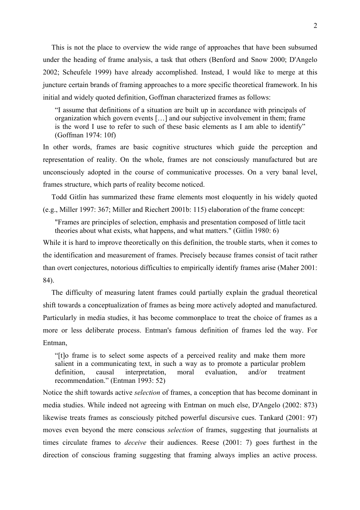This is not the place to overview the wide range of approaches that have been subsumed under the heading of frame analysis, a task that others (Benford and Snow 2000; D'Angelo 2002; Scheufele 1999) have already accomplished. Instead, I would like to merge at this juncture certain brands of framing approaches to a more specific theoretical framework. In his initial and widely quoted definition, Goffman characterized frames as follows:

"I assume that definitions of a situation are built up in accordance with principals of organization which govern events […] and our subjective involvement in them; frame is the word I use to refer to such of these basic elements as I am able to identify" (Goffman 1974: 10f)

In other words, frames are basic cognitive structures which guide the perception and representation of reality. On the whole, frames are not consciously manufactured but are unconsciously adopted in the course of communicative processes. On a very banal level, frames structure, which parts of reality become noticed.

Todd Gitlin has summarized these frame elements most eloquently in his widely quoted (e.g., Miller 1997: 367; Miller and Riechert 2001b: 115) elaboration of the frame concept:

"Frames are principles of selection, emphasis and presentation composed of little tacit theories about what exists, what happens, and what matters." (Gitlin 1980: 6)

While it is hard to improve theoretically on this definition, the trouble starts, when it comes to the identification and measurement of frames. Precisely because frames consist of tacit rather than overt conjectures, notorious difficulties to empirically identify frames arise (Maher 2001: 84).

The difficulty of measuring latent frames could partially explain the gradual theoretical shift towards a conceptualization of frames as being more actively adopted and manufactured. Particularly in media studies, it has become commonplace to treat the choice of frames as a more or less deliberate process. Entman's famous definition of frames led the way. For Entman,

"[t]o frame is to select some aspects of a perceived reality and make them more salient in a communicating text, in such a way as to promote a particular problem definition, causal interpretation, moral evaluation, and/or treatment recommendation." (Entman 1993: 52)

Notice the shift towards active *selection* of frames, a conception that has become dominant in media studies. While indeed not agreeing with Entman on much else, D'Angelo (2002: 873) likewise treats frames as consciously pitched powerful discursive cues. Tankard (2001: 97) moves even beyond the mere conscious *selection* of frames, suggesting that journalists at times circulate frames to *deceive* their audiences. Reese (2001: 7) goes furthest in the direction of conscious framing suggesting that framing always implies an active process.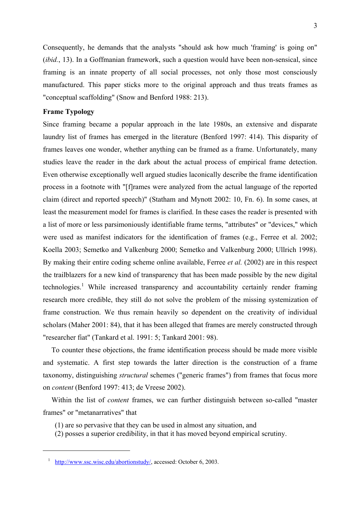Consequently, he demands that the analysts "should ask how much 'framing' is going on" (*ibid.*, 13). In a Goffmanian framework, such a question would have been non-sensical, since framing is an innate property of all social processes, not only those most consciously manufactured. This paper sticks more to the original approach and thus treats frames as "conceptual scaffolding" (Snow and Benford 1988: 213).

## **Frame Typology**

Since framing became a popular approach in the late 1980s, an extensive and disparate laundry list of frames has emerged in the literature (Benford 1997: 414). This disparity of frames leaves one wonder, whether anything can be framed as a frame. Unfortunately, many studies leave the reader in the dark about the actual process of empirical frame detection. Even otherwise exceptionally well argued studies laconically describe the frame identification process in a footnote with "[f]rames were analyzed from the actual language of the reported claim (direct and reported speech)" (Statham and Mynott 2002: 10, Fn. 6). In some cases, at least the measurement model for frames is clarified. In these cases the reader is presented with a list of more or less parsimoniously identifiable frame terms, "attributes" or "devices," which were used as manifest indicators for the identification of frames (e.g., Ferree et al. 2002; Koella 2003; Semetko and Valkenburg 2000; Semetko and Valkenburg 2000; Ullrich 1998). By making their entire coding scheme online available, Ferree *et al.* (2002) are in this respect the trailblazers for a new kind of transparency that has been made possible by the new digital technologies.<sup>[1](#page-3-0)</sup> While increased transparency and accountability certainly render framing research more credible, they still do not solve the problem of the missing systemization of frame construction. We thus remain heavily so dependent on the creativity of individual scholars (Maher 2001: 84), that it has been alleged that frames are merely constructed through "researcher fiat" (Tankard et al. 1991: 5; Tankard 2001: 98).

To counter these objections, the frame identification process should be made more visible and systematic. A first step towards the latter direction is the construction of a frame taxonomy, distinguishing *structural* schemes ("generic frames") from frames that focus more on *content* (Benford 1997: 413; de Vreese 2002).

Within the list of *content* frames, we can further distinguish between so-called "master frames" or "metanarratives" that

- (1) are so pervasive that they can be used in almost any situation, and
- (2) posses a superior credibility, in that it has moved beyond empirical scrutiny.

<span id="page-3-0"></span><sup>&</sup>lt;sup>1</sup> <http://www.ssc.wisc.edu/abortionstudy/>, accessed: October 6, 2003.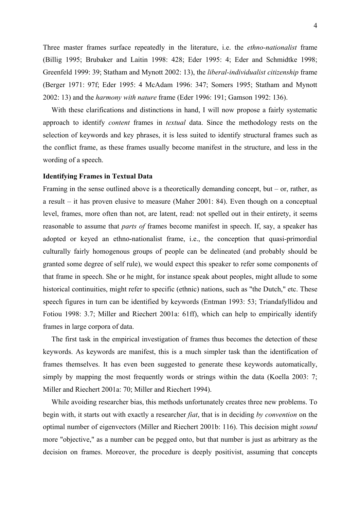Three master frames surface repeatedly in the literature, i.e. the *ethno-nationalist* frame (Billig 1995; Brubaker and Laitin 1998: 428; Eder 1995: 4; Eder and Schmidtke 1998; Greenfeld 1999: 39; Statham and Mynott 2002: 13), the *liberal-individualist citizenship* frame (Berger 1971: 97f; Eder 1995: 4 McAdam 1996: 347; Somers 1995; Statham and Mynott 2002: 13) and the *harmony with nature* frame (Eder 1996: 191; Gamson 1992: 136).

With these clarifications and distinctions in hand. I will now propose a fairly systematic approach to identify *content* frames in *textual* data. Since the methodology rests on the selection of keywords and key phrases, it is less suited to identify structural frames such as the conflict frame, as these frames usually become manifest in the structure, and less in the wording of a speech.

### **Identifying Frames in Textual Data**

Framing in the sense outlined above is a theoretically demanding concept, but  $-$  or, rather, as a result – it has proven elusive to measure (Maher 2001: 84). Even though on a conceptual level, frames, more often than not, are latent, read: not spelled out in their entirety, it seems reasonable to assume that *parts of* frames become manifest in speech. If, say, a speaker has adopted or keyed an ethno-nationalist frame, i.e., the conception that quasi-primordial culturally fairly homogenous groups of people can be delineated (and probably should be granted some degree of self rule), we would expect this speaker to refer some components of that frame in speech. She or he might, for instance speak about peoples, might allude to some historical continuities, might refer to specific (ethnic) nations, such as "the Dutch," etc. These speech figures in turn can be identified by keywords (Entman 1993: 53; Triandafyllidou and Fotiou 1998: 3.7; Miller and Riechert 2001a: 61ff), which can help to empirically identify frames in large corpora of data.

The first task in the empirical investigation of frames thus becomes the detection of these keywords. As keywords are manifest, this is a much simpler task than the identification of frames themselves. It has even been suggested to generate these keywords automatically, simply by mapping the most frequently words or strings within the data (Koella 2003: 7; Miller and Riechert 2001a: 70; Miller and Riechert 1994).

While avoiding researcher bias, this methods unfortunately creates three new problems. To begin with, it starts out with exactly a researcher *fiat*, that is in deciding *by convention* on the optimal number of eigenvectors (Miller and Riechert 2001b: 116). This decision might *sound* more "objective," as a number can be pegged onto, but that number is just as arbitrary as the decision on frames. Moreover, the procedure is deeply positivist, assuming that concepts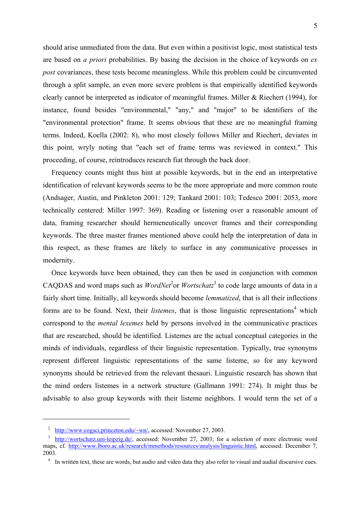should arise unmediated from the data. But even within a positivist logic, most statistical tests are based on *a priori* probabilities. By basing the decision in the choice of keywords on *ex post* covariances, these tests become meaningless. While this problem could be circumvented through a split sample, an even more severe problem is that empirically identified keywords clearly cannot be interpreted as indicator of meaningful frames. Miller & Riechert (1994), for instance, found besides "environmental," "any," and "major" to be identifiers of the "environmental protection" frame. It seems obvious that these are no meaningful framing terms. Indeed, Koella (2002: 8), who most closely follows Miller and Riechert, deviates in this point, wryly noting that "each set of frame terms was reviewed in context." This proceeding, of course, reintroduces research fiat through the back door.

Frequency counts might thus hint at possible keywords, but in the end an interpretative identification of relevant keywords seems to be the more appropriate and more common route (Andsager, Austin, and Pinkleton 2001: 129; Tankard 2001: 103; Tedesco 2001: 2053, more technically centered: Miller 1997: 369). Reading or listening over a reasonable amount of data, framing researcher should hermeneutically uncover frames and their corresponding keywords. The three master frames mentioned above could help the interpretation of data in this respect, as these frames are likely to surface in any communicative processes in modernity.

Once keywords have been obtained, they can then be used in conjunction with common CAQDAS and word maps such as *WordNet*<sup>[2](#page-5-0)</sup>or *Wortschatz*<sup>[3](#page-5-1)</sup> to code large amounts of data in a fairly short time. Initially, all keywords should become *lemmatized*, that is all their inflections forms are to be found. Next, their *listemes*, that is those linguistic representations<sup>4</sup> which correspond to the *mental lexemes* held by persons involved in the communicative practices that are researched, should be identified. Listemes are the actual conceptual categories in the minds of individuals, regardless of their linguistic representation. Typically, true synonyms represent different linguistic representations of the same listeme, so for any keyword synonyms should be retrieved from the relevant thesauri. Linguistic research has shown that the mind orders listemes in a network structure (Gallmann 1991: 274). It might thus be advisable to also group keywords with their listeme neighbors. I would term the set of a

<span id="page-5-0"></span><sup>&</sup>lt;sup>2</sup> [http://www.cogsci.princeton.edu/~wn/,](http://www.cogsci.princeton.edu/~wn/) accessed: November 27, 2003.

<span id="page-5-1"></span><sup>&</sup>lt;sup>3</sup> [http://wortschatz.uni-leipzig.de/,](http://wortschatz.uni-leipzig.de/) accessed: November 27, 2003; for a selection of more electronic word maps, cf. <http://www.lboro.ac.uk/research/mmethods/resources/analysis/linguistic.html>, accessed: December 7, 2003.

<span id="page-5-2"></span><sup>&</sup>lt;sup>4</sup> In written text, these are words, but audio and video data they also refer to visual and audial discursive cues.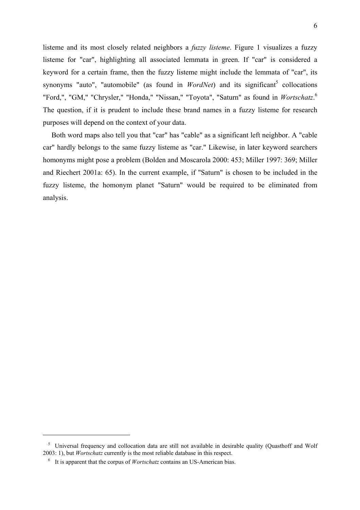listeme and its most closely related neighbors a *fuzzy listeme*. [Figure 1](#page-7-0) visualizes a fuzzy listeme for "car", highlighting all associated lemmata in green. If "car" is considered a keyword for a certain frame, then the fuzzy listeme might include the lemmata of "car", its synonyms "auto", "automobile" (as found in  $WordNet$ ) and its significant<sup>5</sup> collocations "Ford,", "GM," "Chrysler," "Honda," "Nissan," "Toyota", "Saturn" as found in *Wortschatz*.<sup>[6](#page-6-1)</sup> The question, if it is prudent to include these brand names in a fuzzy listeme for research purposes will depend on the context of your data.

Both word maps also tell you that "car" has "cable" as a significant left neighbor. A "cable car" hardly belongs to the same fuzzy listeme as "car." Likewise, in later keyword searchers homonyms might pose a problem (Bolden and Moscarola 2000: 453; Miller 1997: 369; Miller and Riechert 2001a: 65). In the current example, if "Saturn" is chosen to be included in the fuzzy listeme, the homonym planet "Saturn" would be required to be eliminated from analysis.

<span id="page-6-0"></span><sup>&</sup>lt;sup>5</sup> Universal frequency and collocation data are still not available in desirable quality (Quasthoff and Wolf 2003: 1), but *Wortschatz* currently is the most reliable database in this respect.

<span id="page-6-1"></span><sup>6</sup> It is apparent that the corpus of *Wortschatz* contains an US-American bias.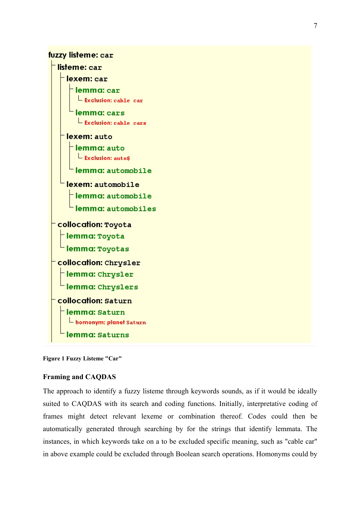<span id="page-7-0"></span>

**Figure 1 Fuzzy Listeme "Car"** 

# **Framing and CAQDAS**

The approach to identify a fuzzy listeme through keywords sounds, as if it would be ideally suited to CAQDAS with its search and coding functions. Initially, interpretative coding of frames might detect relevant lexeme or combination thereof. Codes could then be automatically generated through searching by for the strings that identify lemmata. The instances, in which keywords take on a to be excluded specific meaning, such as "cable car" in above example could be excluded through Boolean search operations. Homonyms could by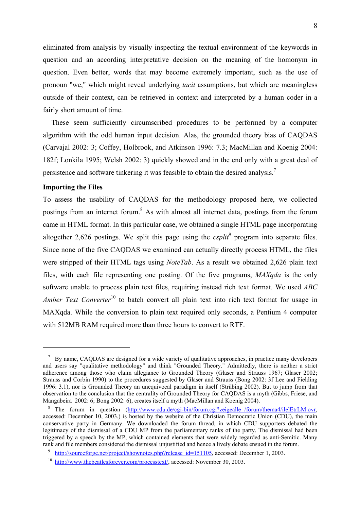eliminated from analysis by visually inspecting the textual environment of the keywords in question and an according interpretative decision on the meaning of the homonym in question. Even better, words that may become extremely important, such as the use of pronoun "we," which might reveal underlying *tacit* assumptions, but which are meaningless outside of their context, can be retrieved in context and interpreted by a human coder in a fairly short amount of time.

These seem sufficiently circumscribed procedures to be performed by a computer algorithm with the odd human input decision. Alas, the grounded theory bias of CAQDAS (Carvajal 2002: 3; Coffey, Holbrook, and Atkinson 1996: 7.3; MacMillan and Koenig 2004: 182f; Lonkila 1995; Welsh 2002: 3) quickly showed and in the end only with a great deal of persistence and software tinkering it was feasible to obtain the desired analysis[.7](#page-8-0)

#### **Importing the Files**

 $\overline{a}$ 

To assess the usability of CAQDAS for the methodology proposed here, we collected postings from an internet forum.<sup>[8](#page-8-1)</sup> As with almost all internet data, postings from the forum came in HTML format. In this particular case, we obtained a single HTML page incorporating altogether 2,626 postings. We split this page using the  $csplit^9$  $csplit^9$  program into separate files. Since none of the five CAQDAS we examined can actually directly process HTML, the files were stripped of their HTML tags using *NoteTab*. As a result we obtained 2,626 plain text files, with each file representing one posting. Of the five programs, *MAXqda* is the only software unable to process plain text files, requiring instead rich text format. We used *ABC Amber Text Converter*<sup>10</sup> to batch convert all plain text into rich text format for usage in MAXqda. While the conversion to plain text required only seconds, a Pentium 4 computer with 512MB RAM required more than three hours to convert to RTF.

<span id="page-8-0"></span><sup>&</sup>lt;sup>7</sup> By name, CAQDAS are designed for a wide variety of qualitative approaches, in practice many developers and users say "qualitative methodology" and think "Grounded Theory." Admittedly, there is neither a strict adherence among those who claim allegiance to Grounded Theory (Glaser and Strauss 1967; Glaser 2002; Strauss and Corbin 1990) to the procedures suggested by Glaser and Strauss (Bong 2002: 3f Lee and Fielding 1996: 3.1), nor is Grounded Theory an unequivocal paradigm in itself (Strübing 2002). But to jump from that observation to the conclusion that the centrality of Grounded Theory for CAQDAS is a myth (Gibbs, Friese, and Mangabeira 2002: 6; Bong 2002: 6), creates itself a myth (MacMillan and Koenig 2004).

<span id="page-8-1"></span><sup>&</sup>lt;sup>8</sup> The forum in question  $(\frac{http://www.cdu.de/cgi-bin/forum.cgi?zeigealle=/forum/thema4/ileIEtrLM.ovr,$ accessed: December 10, 2003.) is hosted by the website of the Christian Democratic Union (CDU), the main conservative party in Germany. We downloaded the forum thread, in which CDU supporters debated the legitimacy of the dismissal of a CDU MP from the parliamentary ranks of the party. The dismissal had been triggered by a speech by the MP, which contained elements that were widely regarded as anti-Semitic. Many rank and file members considered the dismissal unjustified and hence a lively debate ensued in the forum.<br><sup>9</sup> [http://sourceforge.net/project/shownotes.php?release\\_id=151105](http://sourceforge.net/project/shownotes.php?release_id=151105), accessed: December 1, 2003.

<span id="page-8-2"></span>

<span id="page-8-3"></span><sup>&</sup>lt;sup>10</sup> http://www.thebeatlesforever.com/processtext/ accessed: November 30, 2003.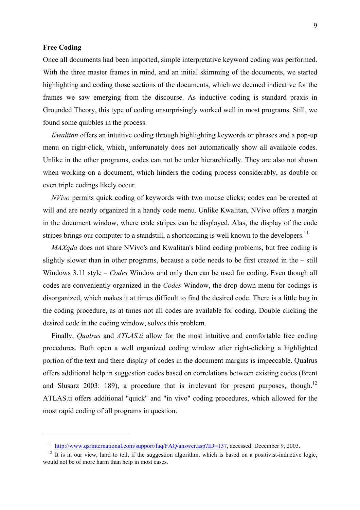## **Free Coding**

 $\overline{a}$ 

Once all documents had been imported, simple interpretative keyword coding was performed. With the three master frames in mind, and an initial skimming of the documents, we started highlighting and coding those sections of the documents, which we deemed indicative for the frames we saw emerging from the discourse. As inductive coding is standard praxis in Grounded Theory, this type of coding unsurprisingly worked well in most programs. Still, we found some quibbles in the process.

*Kwalitan* offers an intuitive coding through highlighting keywords or phrases and a pop-up menu on right-click, which, unfortunately does not automatically show all available codes. Unlike in the other programs, codes can not be order hierarchically. They are also not shown when working on a document, which hinders the coding process considerably, as double or even triple codings likely occur.

*NVivo* permits quick coding of keywords with two mouse clicks; codes can be created at will and are neatly organized in a handy code menu. Unlike Kwalitan, NVivo offers a margin in the document window, where code stripes can be displayed. Alas, the display of the code stripes brings our computer to a standstill, a shortcoming is well known to the developers.<sup>11</sup>

*MAXqda* does not share NVivo's and Kwalitan's blind coding problems, but free coding is slightly slower than in other programs, because a code needs to be first created in the – still Windows 3.11 style – *Codes* Window and only then can be used for coding. Even though all codes are conveniently organized in the *Codes* Window, the drop down menu for codings is disorganized, which makes it at times difficult to find the desired code. There is a little bug in the coding procedure, as at times not all codes are available for coding. Double clicking the desired code in the coding window, solves this problem.

Finally, *Qualrus* and *ATLAS.ti* allow for the most intuitive and comfortable free coding procedures. Both open a well organized coding window after right-clicking a highlighted portion of the text and there display of codes in the document margins is impeccable. Qualrus offers additional help in suggestion codes based on correlations between existing codes (Brent and Slusarz 2003: 189), a procedure that is irrelevant for present purposes, though.<sup>[12](#page-9-1)</sup> ATLAS.ti offers additional "quick" and "in vivo" coding procedures, which allowed for the most rapid coding of all programs in question.

<span id="page-9-0"></span><sup>&</sup>lt;sup>11</sup> <http://www.qsrinternational.com/support/faq/FAQ/answer.asp?ID=137>, accessed: December 9, 2003.<br><sup>12</sup> It is in our view, hard to tell, if the suggestion algorithm, which is based on a positivist-inductive logic,

<span id="page-9-1"></span>would not be of more harm than help in most cases.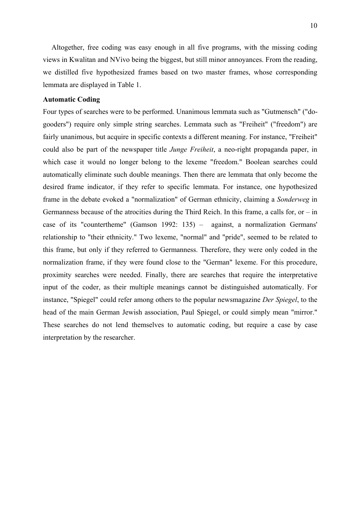Altogether, free coding was easy enough in all five programs, with the missing coding views in Kwalitan and NVivo being the biggest, but still minor annoyances. From the reading, we distilled five hypothesized frames based on two master frames, whose corresponding lemmata are displayed in [Table 1.](#page-12-0)

# **Automatic Coding**

Four types of searches were to be performed. Unanimous lemmata such as "Gutmensch" ("dogooders") require only simple string searches. Lemmata such as "Freiheit" ("freedom") are fairly unanimous, but acquire in specific contexts a different meaning. For instance, "Freiheit" could also be part of the newspaper title *Junge Freiheit*, a neo-right propaganda paper, in which case it would no longer belong to the lexeme "freedom." Boolean searches could automatically eliminate such double meanings. Then there are lemmata that only become the desired frame indicator, if they refer to specific lemmata. For instance, one hypothesized frame in the debate evoked a "normalization" of German ethnicity, claiming a *Sonderweg* in Germanness because of the atrocities during the Third Reich. In this frame, a calls for, or  $-$  in case of its "countertheme" (Gamson 1992: 135) – against, a normalization Germans' relationship to "their ethnicity." Two lexeme, "normal" and "pride", seemed to be related to this frame, but only if they referred to Germanness. Therefore, they were only coded in the normalization frame, if they were found close to the "German" lexeme. For this procedure, proximity searches were needed. Finally, there are searches that require the interpretative input of the coder, as their multiple meanings cannot be distinguished automatically. For instance, "Spiegel" could refer among others to the popular newsmagazine *Der Spiegel*, to the head of the main German Jewish association, Paul Spiegel, or could simply mean "mirror." These searches do not lend themselves to automatic coding, but require a case by case interpretation by the researcher.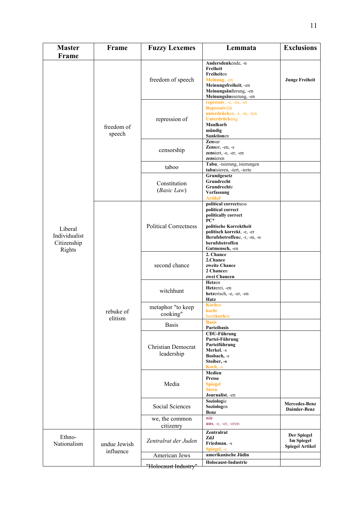| <b>Master</b>                                     | Frame                     | <b>Fuzzy Lexemes</b>                    | Lemmata                                                                                                                                                                                                 | <b>Exclusions</b>                                          |
|---------------------------------------------------|---------------------------|-----------------------------------------|---------------------------------------------------------------------------------------------------------------------------------------------------------------------------------------------------------|------------------------------------------------------------|
| Frame                                             |                           |                                         |                                                                                                                                                                                                         |                                                            |
|                                                   | freedom of<br>speech      | freedom of speech                       | Andersdenkende, -n<br>Freiheit<br>Freiheiten<br>Meinung, -en<br>Meinungsfreiheit, -en<br>Meinungsäußerung, -en<br>Meinungsäusserung, -en                                                                | <b>Junge Freiheit</b>                                      |
|                                                   |                           | repression of                           | repressiv, -e, -en, -er<br>Repressivität<br>unterdrücken, -t, -te, -ten<br>Unterdrückung<br>Maulkorb<br>mündig<br>Sanktionen                                                                            |                                                            |
|                                                   |                           | censorship                              | Zensur<br>Zensor, -en, -s<br>zensiert, -e, -er, -en<br>zensieren                                                                                                                                        |                                                            |
|                                                   |                           | taboo                                   | Tabu, -isierung, isierungen<br>tabuisieren, -iert, -ierte                                                                                                                                               |                                                            |
| Liberal<br>Individualist<br>Citizenship<br>Rights |                           | Constitution<br>(Basic Law)             | Grundgesetz<br>Grundrecht<br>Grundrechte<br>Verfassung<br><b>Artikel</b>                                                                                                                                |                                                            |
|                                                   | rebuke of<br>elitism      | <b>Political Correctness</b>            | political correctness<br>political correct<br>politically correct<br>$PC*$<br>politische Korrektheit<br>politisch korrekt, -e, -er<br>Berufsbetroffene, -r, -m, -n<br>berufsbetroffen<br>Gutmensch, -en |                                                            |
|                                                   |                           | second chance                           | 2. Chance<br>2.Chance<br>zweite Chance<br>2 Chancen<br>zwei Chancen                                                                                                                                     |                                                            |
|                                                   |                           | witchhunt                               | Hetzen<br>Hetzerei, -en<br>hetzerisch, -e, -er, -en<br>Hatz                                                                                                                                             |                                                            |
|                                                   |                           | metaphor "to keep<br>cooking"           | <b>Kochen</b><br>kocht<br>hochkochen                                                                                                                                                                    |                                                            |
|                                                   |                           | <b>Basis</b>                            | <b>Basis</b><br>Parteibasis                                                                                                                                                                             |                                                            |
|                                                   |                           | <b>Christian Democrat</b><br>leadership | <b>CDU-Führung</b><br>Partei-Führung<br>Parteiführung<br>Merkel, -s<br>Bosbach, -s<br>Stoiber, -s<br>Koch, -s                                                                                           |                                                            |
|                                                   |                           | Media                                   | Medien<br><b>Presse</b><br><b>Spiegel</b><br><b>Stern</b><br>Journalist, -en                                                                                                                            |                                                            |
|                                                   |                           | Social Sciences                         | Soziologie<br>Soziologen<br>Benz                                                                                                                                                                        | <b>Mercedes-Benz</b><br>Daimler-Benz                       |
|                                                   |                           | we, the common                          | wir<br>uns, -e, -er, -eren                                                                                                                                                                              |                                                            |
| Ethno-<br>Nationalism                             | undue Jewish<br>influence | citizenry<br>Zentralrat der Juden       | Zentralrat<br>ZdJ<br>Friedman, -s<br>Spiegel, -s                                                                                                                                                        | Der Spiegel<br><b>Im Spiegel</b><br><b>Spiegel Artikel</b> |
|                                                   |                           | American Jews                           | amerikanische Jüdin                                                                                                                                                                                     |                                                            |
|                                                   |                           | "Holocaust Industry"                    | Holocaust-Industrie                                                                                                                                                                                     |                                                            |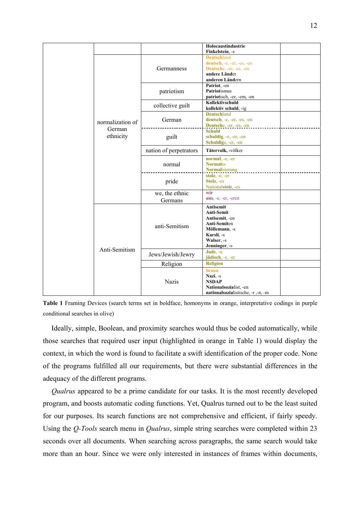|  |                                         |                           | Holocaustindustrie<br>Finkelstein, -s                                                                                                 |
|--|-----------------------------------------|---------------------------|---------------------------------------------------------------------------------------------------------------------------------------|
|  | normalization of<br>German<br>ethnicity | Germanness                | <b>Deutschland</b><br>deutsch, -e, -er, -es, -en<br>Deutsche, -er, -es, -en<br>andere Länder<br>anderen Ländern                       |
|  |                                         | patriotism                | Patriot, -en<br>Patriotismus<br>patriotisch, -er, -em, -en                                                                            |
|  |                                         | collective guilt          | Kollektivschuld<br>kollektiv schuld, -ig                                                                                              |
|  |                                         | German                    | <b>Deutschland</b><br>deutsch, -e, -er, -es, -en<br>Deutsche, -er, -es, -en                                                           |
|  |                                         | guilt                     | <b>Schuld</b><br>schuldig, -e, -er, -en<br>Schuldige, -er, -en                                                                        |
|  |                                         | nation of perpetrators    | Tätervolk, -völker                                                                                                                    |
|  |                                         | normal                    | normal, -e, -er<br><b>Normales</b><br>Normalisierung                                                                                  |
|  |                                         | pride                     | stolz, -e, -er<br>Stolz, -es<br>Nationalstolz, -es                                                                                    |
|  |                                         | we, the ethnic<br>Germans | wir<br>uns, -e, -er, -eren                                                                                                            |
|  | Anti-Semitism                           | anti-Semitism             | <b>Antisemit</b><br>Anti-Semit<br>Antisemit, -en<br><b>Anti-Semiten</b><br>Möllemann, -s<br>Karsli, -s<br>Walser, -s<br>Jenninger, -s |
|  |                                         | Jews/Jewish/Jewry         | Jude, -n<br>jüdisch, -e, -er                                                                                                          |
|  |                                         | Religion                  | <b>Religion</b>                                                                                                                       |
|  |                                         | <b>Nazis</b>              | <b>braun</b><br>Nazi, -s<br><b>NSDAP</b><br>Nationalsozialist, -en<br>nationalsozialistische, -r ,-n, -m                              |

<span id="page-12-0"></span>**Table 1** Framing Devices (search terms set in boldface, homonyms in orange, interpretative codings in purple conditional searches in olive)

Ideally, simple, Boolean, and proximity searches would thus be coded automatically, while those searches that required user input (highlighted in orange in [Table 1\)](#page-12-0) would display the context, in which the word is found to facilitate a swift identification of the proper code. None of the programs fulfilled all our requirements, but there were substantial differences in the adequacy of the different programs.

*Qualrus* appeared to be a prime candidate for our tasks. It is the most recently developed program, and boosts automatic coding functions. Yet, Qualrus turned out to be the least suited for our purposes. Its search functions are not comprehensive and efficient, if fairly speedy. Using the *Q-Tools* search menu in *Qualrus*, simple string searches were completed within 23 seconds over all documents. When searching across paragraphs, the same search would take more than an hour. Since we were only interested in instances of frames within documents,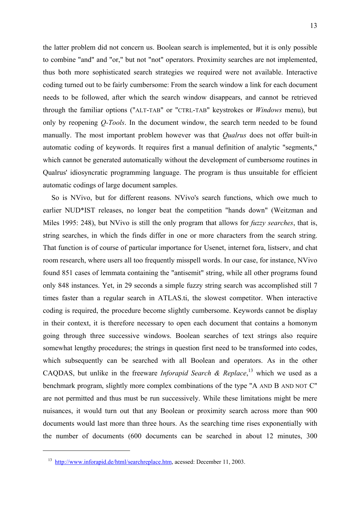the latter problem did not concern us. Boolean search is implemented, but it is only possible to combine "and" and "or," but not "not" operators. Proximity searches are not implemented, thus both more sophisticated search strategies we required were not available. Interactive coding turned out to be fairly cumbersome: From the search window a link for each document needs to be followed, after which the search window disappears, and cannot be retrieved through the familiar options ("ALT-TAB" or "CTRL-TAB" keystrokes or *Windows* menu), but only by reopening *Q-Tools*. In the document window, the search term needed to be found manually. The most important problem however was that *Qualrus* does not offer built-in automatic coding of keywords. It requires first a manual definition of analytic "segments," which cannot be generated automatically without the development of cumbersome routines in Qualrus' idiosyncratic programming language. The program is thus unsuitable for efficient automatic codings of large document samples.

So is NVivo, but for different reasons. NVivo's search functions, which owe much to earlier NUD\*IST releases, no longer beat the competition "hands down" (Weitzman and Miles 1995: 248), but NVivo is still the only program that allows for *fuzzy searches*, that is, string searches, in which the finds differ in one or more characters from the search string. That function is of course of particular importance for Usenet, internet fora, listserv, and chat room research, where users all too frequently misspell words. In our case, for instance, NVivo found 851 cases of lemmata containing the "antisemit" string, while all other programs found only 848 instances. Yet, in 29 seconds a simple fuzzy string search was accomplished still 7 times faster than a regular search in ATLAS.ti, the slowest competitor. When interactive coding is required, the procedure become slightly cumbersome. Keywords cannot be display in their context, it is therefore necessary to open each document that contains a homonym going through three successive windows. Boolean searches of text strings also require somewhat lengthy procedures; the strings in question first need to be transformed into codes, which subsequently can be searched with all Boolean and operators. As in the other CAQDAS, but unlike in the freeware *Inforapid Search & Replace*, [13](#page-13-0) which we used as a benchmark program, slightly more complex combinations of the type "A AND B AND NOT C" are not permitted and thus must be run successively. While these limitations might be mere nuisances, it would turn out that any Boolean or proximity search across more than 900 documents would last more than three hours. As the searching time rises exponentially with the number of documents (600 documents can be searched in about 12 minutes, 300

<span id="page-13-0"></span><sup>13</sup> [http://www.inforapid.de/html/searchreplace.htm,](http://www.inforapid.de/html/searchreplace.htm) acessed: December 11, 2003.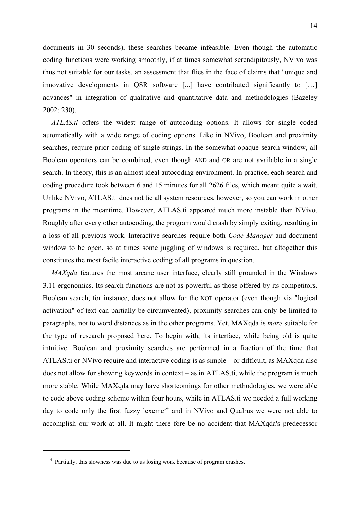documents in 30 seconds), these searches became infeasible. Even though the automatic coding functions were working smoothly, if at times somewhat serendipitously, NVivo was thus not suitable for our tasks, an assessment that flies in the face of claims that "unique and innovative developments in QSR software [...] have contributed significantly to […] advances" in integration of qualitative and quantitative data and methodologies (Bazeley 2002: 230).

*ATLAS.ti* offers the widest range of autocoding options. It allows for single coded automatically with a wide range of coding options. Like in NVivo, Boolean and proximity searches, require prior coding of single strings. In the somewhat opaque search window, all Boolean operators can be combined, even though AND and OR are not available in a single search. In theory, this is an almost ideal autocoding environment. In practice, each search and coding procedure took between 6 and 15 minutes for all 2626 files, which meant quite a wait. Unlike NVivo, ATLAS.ti does not tie all system resources, however, so you can work in other programs in the meantime. However, ATLAS.ti appeared much more instable than NVivo. Roughly after every other autocoding, the program would crash by simply exiting, resulting in a loss of all previous work. Interactive searches require both *Code Manager* and document window to be open, so at times some juggling of windows is required, but altogether this constitutes the most facile interactive coding of all programs in question.

*MAXqda* features the most arcane user interface, clearly still grounded in the Windows 3.11 ergonomics. Its search functions are not as powerful as those offered by its competitors. Boolean search, for instance, does not allow for the NOT operator (even though via "logical activation" of text can partially be circumvented), proximity searches can only be limited to paragraphs, not to word distances as in the other programs. Yet, MAXqda is *more* suitable for the type of research proposed here. To begin with, its interface, while being old is quite intuitive. Boolean and proximity searches are performed in a fraction of the time that ATLAS.ti or NVivo require and interactive coding is as simple – or difficult, as MAXqda also does not allow for showing keywords in context – as in ATLAS.ti, while the program is much more stable. While MAXqda may have shortcomings for other methodologies, we were able to code above coding scheme within four hours, while in ATLAS.ti we needed a full working day to code only the first fuzzy lexeme<sup>14</sup> and in NVivo and Qualrus we were not able to accomplish our work at all. It might there fore be no accident that MAXqda's predecessor

<span id="page-14-0"></span> $14$  Partially, this slowness was due to us losing work because of program crashes.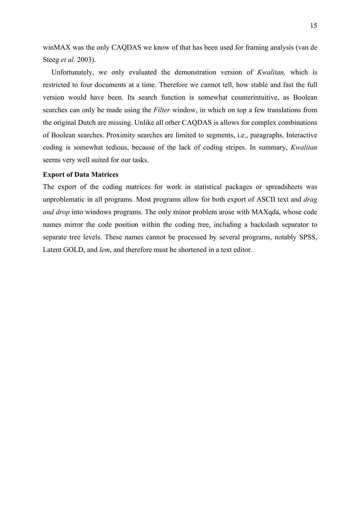winMAX was the only CAQDAS we know of that has been used for framing analysis (van de Steeg *et al.* 2003).

Unfortunately, we only evaluated the demonstration version of *Kwalitan,* which is restricted to four documents at a time. Therefore we cannot tell, how stable and fast the full version would have been. Its search function is somewhat counterintuitive, as Boolean searches can only be made using the *Filter* window, in which on top a few translations from the original Dutch are missing. Unlike all other CAQDAS is allows for complex combinations of Boolean searches. Proximity searches are limited to segments, i.e., paragraphs. Interactive coding is somewhat tedious, because of the lack of coding stripes. In summary, *Kwalitan* seems very well suited for our tasks.

#### **Export of Data Matrices**

The export of the coding matrices for work in statistical packages or spreadsheets was unproblematic in all programs. Most programs allow for both export of ASCII text and *drag and drop* into windows programs. The only minor problem arose with MAXqda, whose code names mirror the code position within the coding tree, including a backslash separator to separate tree levels. These names cannot be processed by several programs, notably SPSS, Latent GOLD, and *lem*, and therefore must be shortened in a text editor.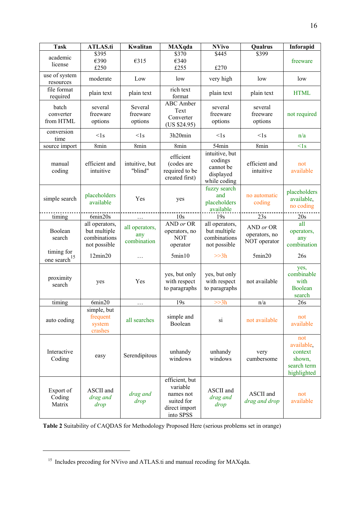| <b>Task</b>                            | <b>ATLAS.ti</b>                                                | Kwalitan                             | <b>MAXqda</b>                                                                       | <b>NVivo</b>                                                        | Qualrus                                    | Inforapid                                                            |
|----------------------------------------|----------------------------------------------------------------|--------------------------------------|-------------------------------------------------------------------------------------|---------------------------------------------------------------------|--------------------------------------------|----------------------------------------------------------------------|
| academic                               | \$395                                                          |                                      | \$370                                                                               | \$445                                                               | \$399                                      |                                                                      |
| license                                | €390                                                           | €315                                 | €340                                                                                |                                                                     |                                            | freeware                                                             |
|                                        | £250                                                           |                                      | £255                                                                                | £270                                                                |                                            |                                                                      |
| use of system<br>resources             | moderate                                                       | Low                                  | low                                                                                 | very high                                                           | low                                        | low                                                                  |
| file format<br>required                | plain text                                                     | plain text                           | rich text<br>format                                                                 | plain text                                                          | plain text                                 | <b>HTML</b>                                                          |
| batch<br>converter<br>from HTML        | several<br>freeware<br>options                                 | Several<br>freeware<br>options       | <b>ABC</b> Amber<br>Text<br>Converter<br>(US \$24.95)                               | several<br>freeware<br>options                                      | several<br>freeware<br>options             | not required                                                         |
| conversion<br>time                     | $<$ 1s                                                         | $<$ ls                               | 3h20min                                                                             | $<$ 1s                                                              | $<$ 1s                                     | n/a                                                                  |
| source import                          | 8min                                                           | 8min                                 | 8min                                                                                | 54min                                                               | 8min                                       | $<$ 1s                                                               |
| manual<br>coding                       | efficient and<br>intuitive                                     | intuitive, but<br>"blind"            | efficient<br>(codes are<br>required to be<br>created first)                         | intuitive, but<br>codings<br>cannot be<br>displayed<br>while coding | efficient and<br>intuitive                 | not<br>available                                                     |
| simple search                          | placeholders<br>available                                      | Yes                                  | yes                                                                                 | fuzzy search<br>and<br>placeholders<br>available                    | no automatic<br>coding                     | placeholders<br>available,<br>no coding                              |
| timing                                 | 6min20s                                                        |                                      | 10s                                                                                 | 19s                                                                 | 23s                                        | 20s                                                                  |
| Boolean<br>search                      | all operators,<br>but multiple<br>combinations<br>not possible | all operators,<br>any<br>combination | AND or OR<br>operators, no<br><b>NOT</b><br>operator                                | all operators,<br>but multiple<br>combinations<br>not possible      | AND or OR<br>operators, no<br>NOT operator | all<br>operators,<br>any<br>combination                              |
| timing for<br>one search <sup>15</sup> | 12min20                                                        | .                                    | 5min10                                                                              | >>3h                                                                | 5min20                                     | 26s                                                                  |
| proximity<br>search                    | yes                                                            | Yes                                  | yes, but only<br>with respect<br>to paragraphs                                      | yes, but only<br>with respect<br>to paragraphs                      | not available                              | yes,<br>combinable<br>with<br><b>Boolean</b><br>search               |
| timing                                 | 6min20                                                         | .                                    | 19s                                                                                 | >>3h                                                                | n/a                                        | 26s                                                                  |
| auto coding                            | simple, but<br>frequent<br>system<br>crashes                   | all searches                         | simple and<br>Boolean                                                               | si                                                                  | not available                              | not<br>available                                                     |
| Interactive<br>Coding                  | easy                                                           | Serendipitous                        | unhandy<br>windows                                                                  | unhandy<br>windows                                                  | very<br>cumbersome                         | not<br>available,<br>context<br>shown,<br>search term<br>highlighted |
| Export of<br>Coding<br>Matrix          | ASCII and<br>drag and<br>drop                                  | drag and<br>drop                     | efficient, but<br>variable<br>names not<br>suited for<br>direct import<br>into SPSS | ASCII and<br>drag and<br>drop                                       | ASCII and<br>drag and drop                 | not<br>available                                                     |

<span id="page-16-1"></span>**Table 2** Suitability of CAQDAS for Methodology Proposed Here (serious problems set in orange)

<span id="page-16-0"></span><sup>&</sup>lt;sup>15</sup> Includes precoding for NVivo and ATLAS.ti and manual recoding for MAXqda.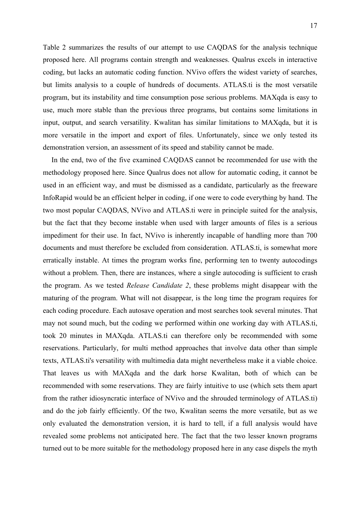[Table 2](#page-16-1) summarizes the results of our attempt to use CAQDAS for the analysis technique proposed here. All programs contain strength and weaknesses. Qualrus excels in interactive coding, but lacks an automatic coding function. NVivo offers the widest variety of searches, but limits analysis to a couple of hundreds of documents. ATLAS.ti is the most versatile program, but its instability and time consumption pose serious problems. MAXqda is easy to use, much more stable than the previous three programs, but contains some limitations in input, output, and search versatility. Kwalitan has similar limitations to MAXqda, but it is more versatile in the import and export of files. Unfortunately, since we only tested its demonstration version, an assessment of its speed and stability cannot be made.

In the end, two of the five examined CAQDAS cannot be recommended for use with the methodology proposed here. Since Qualrus does not allow for automatic coding, it cannot be used in an efficient way, and must be dismissed as a candidate, particularly as the freeware InfoRapid would be an efficient helper in coding, if one were to code everything by hand. The two most popular CAQDAS, NVivo and ATLAS.ti were in principle suited for the analysis, but the fact that they become instable when used with larger amounts of files is a serious impediment for their use. In fact, NVivo is inherently incapable of handling more than 700 documents and must therefore be excluded from consideration. ATLAS.ti, is somewhat more erratically instable. At times the program works fine, performing ten to twenty autocodings without a problem. Then, there are instances, where a single autocoding is sufficient to crash the program. As we tested *Release Candidate 2*, these problems might disappear with the maturing of the program. What will not disappear, is the long time the program requires for each coding procedure. Each autosave operation and most searches took several minutes. That may not sound much, but the coding we performed within one working day with ATLAS.ti, took 20 minutes in MAXqda. ATLAS.ti can therefore only be recommended with some reservations. Particularly, for multi method approaches that involve data other than simple texts, ATLAS.ti's versatility with multimedia data might nevertheless make it a viable choice. That leaves us with MAXqda and the dark horse Kwalitan, both of which can be recommended with some reservations. They are fairly intuitive to use (which sets them apart from the rather idiosyncratic interface of NVivo and the shrouded terminology of ATLAS.ti) and do the job fairly efficiently. Of the two, Kwalitan seems the more versatile, but as we only evaluated the demonstration version, it is hard to tell, if a full analysis would have revealed some problems not anticipated here. The fact that the two lesser known programs turned out to be more suitable for the methodology proposed here in any case dispels the myth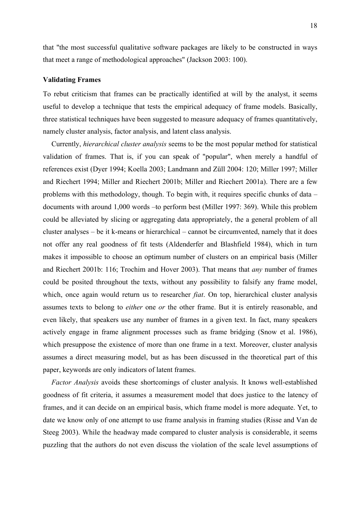that "the most successful qualitative software packages are likely to be constructed in ways that meet a range of methodological approaches" (Jackson 2003: 100).

#### **Validating Frames**

To rebut criticism that frames can be practically identified at will by the analyst, it seems useful to develop a technique that tests the empirical adequacy of frame models. Basically, three statistical techniques have been suggested to measure adequacy of frames quantitatively, namely cluster analysis, factor analysis, and latent class analysis.

Currently, *hierarchical cluster analysis* seems to be the most popular method for statistical validation of frames. That is, if you can speak of "popular", when merely a handful of references exist (Dyer 1994; Koella 2003; Landmann and Züll 2004: 120; Miller 1997; Miller and Riechert 1994; Miller and Riechert 2001b; Miller and Riechert 2001a). There are a few problems with this methodology, though. To begin with, it requires specific chunks of data – documents with around 1,000 words –to perform best (Miller 1997: 369). While this problem could be alleviated by slicing or aggregating data appropriately, the a general problem of all cluster analyses – be it k-means or hierarchical – cannot be circumvented, namely that it does not offer any real goodness of fit tests (Aldenderfer and Blashfield 1984), which in turn makes it impossible to choose an optimum number of clusters on an empirical basis (Miller and Riechert 2001b: 116; Trochim and Hover 2003). That means that *any* number of frames could be posited throughout the texts, without any possibility to falsify any frame model, which, once again would return us to researcher *fiat*. On top, hierarchical cluster analysis assumes texts to belong to *either* one *or* the other frame. But it is entirely reasonable, and even likely, that speakers use any number of frames in a given text. In fact, many speakers actively engage in frame alignment processes such as frame bridging (Snow et al. 1986), which presuppose the existence of more than one frame in a text. Moreover, cluster analysis assumes a direct measuring model, but as has been discussed in the theoretical part of this paper, keywords are only indicators of latent frames.

*Factor Analysis* avoids these shortcomings of cluster analysis. It knows well-established goodness of fit criteria, it assumes a measurement model that does justice to the latency of frames, and it can decide on an empirical basis, which frame model is more adequate. Yet, to date we know only of one attempt to use frame analysis in framing studies (Risse and Van de Steeg 2003). While the headway made compared to cluster analysis is considerable, it seems puzzling that the authors do not even discuss the violation of the scale level assumptions of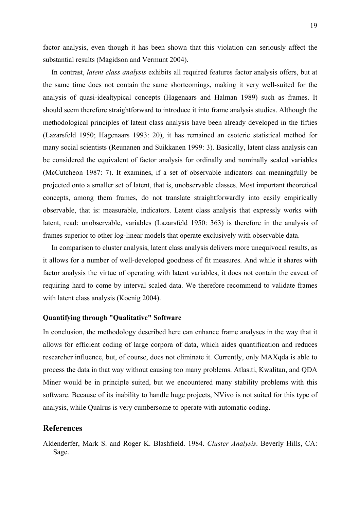factor analysis, even though it has been shown that this violation can seriously affect the substantial results (Magidson and Vermunt 2004).

In contrast, *latent class analysis* exhibits all required features factor analysis offers, but at the same time does not contain the same shortcomings, making it very well-suited for the analysis of quasi-idealtypical concepts (Hagenaars and Halman 1989) such as frames. It should seem therefore straightforward to introduce it into frame analysis studies. Although the methodological principles of latent class analysis have been already developed in the fifties (Lazarsfeld 1950; Hagenaars 1993: 20), it has remained an esoteric statistical method for many social scientists (Reunanen and Suikkanen 1999: 3). Basically, latent class analysis can be considered the equivalent of factor analysis for ordinally and nominally scaled variables (McCutcheon 1987: 7). It examines, if a set of observable indicators can meaningfully be projected onto a smaller set of latent, that is, unobservable classes. Most important theoretical concepts, among them frames, do not translate straightforwardly into easily empirically observable, that is: measurable, indicators. Latent class analysis that expressly works with latent, read: unobservable, variables (Lazarsfeld 1950: 363) is therefore in the analysis of frames superior to other log-linear models that operate exclusively with observable data.

In comparison to cluster analysis, latent class analysis delivers more unequivocal results, as it allows for a number of well-developed goodness of fit measures. And while it shares with factor analysis the virtue of operating with latent variables, it does not contain the caveat of requiring hard to come by interval scaled data. We therefore recommend to validate frames with latent class analysis (Koenig 2004).

## **Quantifying through "Qualitative" Software**

In conclusion, the methodology described here can enhance frame analyses in the way that it allows for efficient coding of large corpora of data, which aides quantification and reduces researcher influence, but, of course, does not eliminate it. Currently, only MAXqda is able to process the data in that way without causing too many problems. Atlas.ti, Kwalitan, and QDA Miner would be in principle suited, but we encountered many stability problems with this software. Because of its inability to handle huge projects, NVivo is not suited for this type of analysis, while Qualrus is very cumbersome to operate with automatic coding.

# **References**

Aldenderfer, Mark S. and Roger K. Blashfield. 1984. *Cluster Analysis*. Beverly Hills, CA: Sage.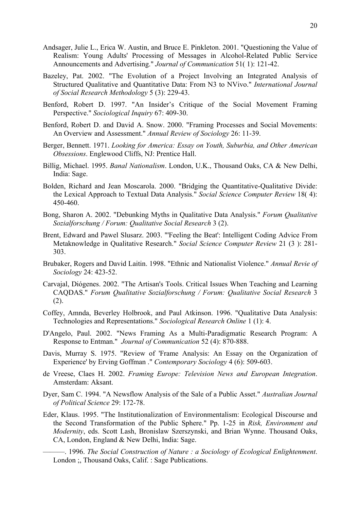- Andsager, Julie L., Erica W. Austin, and Bruce E. Pinkleton. 2001. "Questioning the Value of Realism: Young Adults' Processing of Messages in Alcohol-Related Public Service Announcements and Advertising." *Journal of Communication* 51( 1): 121-42.
- Bazeley, Pat. 2002. "The Evolution of a Project Involving an Integrated Analysis of Structured Qualitative and Quantitative Data: From N3 to NVivo." *International Journal of Social Research Methodology* 5 (3): 229-43.
- Benford, Robert D. 1997. "An Insider's Critique of the Social Movement Framing Perspective." *Sociological Inquiry* 67: 409-30.
- Benford, Robert D. and David A. Snow. 2000. "Framing Processes and Social Movements: An Overview and Assessment." *Annual Review of Sociology* 26: 11-39.
- Berger, Bennett. 1971. *Looking for America: Essay on Youth, Suburbia, and Other American Obsessions*. Englewood Cliffs, NJ: Prentice Hall.
- Billig, Michael. 1995. *Banal Nationalism*. London, U.K., Thousand Oaks, CA & New Delhi, India: Sage.
- Bolden, Richard and Jean Moscarola. 2000. "Bridging the Quantitative-Qualitative Divide: the Lexical Approach to Textual Data Analysis." *Social Science Computer Review* 18( 4): 450-460.
- Bong, Sharon A. 2002. "Debunking Myths in Qualitative Data Analysis." *Forum Qualitative Sozialforschung / Forum: Qualitative Social Research* 3 (2).
- Brent, Edward and Pawel Slusarz. 2003. "'Feeling the Beat': Intelligent Coding Advice From Metaknowledge in Qualitative Research." *Social Science Computer Review* 21 (3 ): 281- 303.
- Brubaker, Rogers and David Laitin. 1998. "Ethnic and Nationalist Violence." *Annual Revie of Sociology* 24: 423-52.
- Carvajal, Diógenes. 2002. "The Artisan's Tools. Critical Issues When Teaching and Learning CAQDAS." *Forum Qualitative Sozialforschung / Forum: Qualitative Social Research* 3 (2).
- Coffey, Amnda, Beverley Holbrook, and Paul Atkinson. 1996. "Qualitative Data Analysis: Technologies and Representations." *Sociological Research Online* 1 (1): 4.
- D'Angelo, Paul. 2002. "News Framing As a Multi-Paradigmatic Research Program: A Response to Entman." *Journal of Communication* 52 (4): 870-888.
- Davis, Murray S. 1975. "Review of 'Frame Analysis: An Essay on the Organization of Experience' by Erving Goffman ." *Contemporary Sociology* 4 (6): 509-603.
- de Vreese, Claes H. 2002. *Framing Europe: Television News and European Integration*. Amsterdam: Aksant.
- Dyer, Sam C. 1994. "A Newsflow Analysis of the Sale of a Public Asset." *Australian Journal of Political Science* 29: 172-78.
- Eder, Klaus. 1995. "The Institutionalization of Environmentalism: Ecological Discourse and the Second Transformation of the Public Sphere." Pp. 1-25 in *Risk, Environment and Modernity*, eds. Scott Lash, Bronislaw Szerszynski, and Brian Wynne. Thousand Oaks, CA, London, England & New Delhi, India: Sage.
	- ———. 1996. *The Social Construction of Nature : a Sociology of Ecological Enlightenment*. London ;, Thousand Oaks, Calif. : Sage Publications.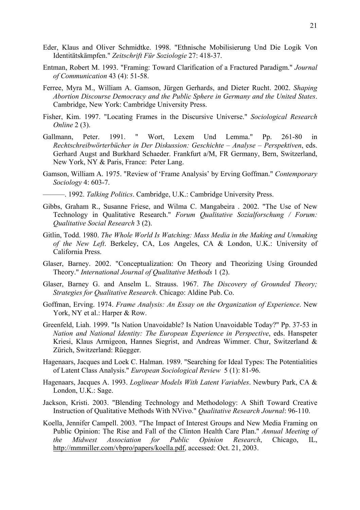- Eder, Klaus and Oliver Schmidtke. 1998. "Ethnische Mobilisierung Und Die Logik Von Identitätskämpfen." *Zeitschrift Für Soziologie* 27: 418-37.
- Entman, Robert M. 1993. "Framing: Toward Clarification of a Fractured Paradigm." *Journal of Communication* 43 (4): 51-58.
- Ferree, Myra M., William A. Gamson, Jürgen Gerhards, and Dieter Rucht. 2002. *Shaping Abortion Discourse Democracy and the Public Sphere in Germany and the United States*. Cambridge, New York: Cambridge University Press.
- Fisher, Kim. 1997. "Locating Frames in the Discursive Universe." *Sociological Research Online* 2 (3).
- Gallmann, Peter. 1991. " Wort, Lexem Und Lemma." Pp. 261-80 in *Rechtschreibwörterbücher in Der Diskussion: Geschichte – Analyse – Perspektiven*, eds. Gerhard Augst and Burkhard Schaeder. Frankfurt a/M, FR Germany, Bern, Switzerland, New York, NY & Paris, France: Peter Lang.
- Gamson, William A. 1975. "Review of 'Frame Analysis' by Erving Goffman." *Contemporary Sociology* 4: 603-7.
	- ———. 1992. *Talking Politics*. Cambridge, U.K.: Cambridge University Press.
- Gibbs, Graham R., Susanne Friese, and Wilma C. Mangabeira . 2002. "The Use of New Technology in Qualitative Research." *Forum Qualitative Sozialforschung / Forum: Qualitative Social Research* 3 (2).
- Gitlin, Todd. 1980. *The Whole World Is Watching: Mass Media in the Making and Unmaking of the New Left*. Berkeley, CA, Los Angeles, CA & London, U.K.: University of California Press.
- Glaser, Barney. 2002. "Conceptualization: On Theory and Theorizing Using Grounded Theory." *International Journal of Qualitative Methods* 1 (2).
- Glaser, Barney G. and Anselm L. Strauss. 1967. *The Discovery of Grounded Theory; Strategies for Qualitative Research*. Chicago: Aldine Pub. Co.
- Goffman, Erving. 1974. *Frame Analysis: An Essay on the Organization of Experience*. New York, NY et al.: Harper & Row.
- Greenfeld, Liah. 1999. "Is Nation Unavoidable? Is Nation Unavoidable Today?" Pp. 37-53 in *Nation and National Identity: The European Experience in Perspective*, eds. Hanspeter Kriesi, Klaus Armigeon, Hannes Siegrist, and Andreas Wimmer. Chur, Switzerland & Zürich, Switzerland: Rüegger.
- Hagenaars, Jacques and Loek C. Halman. 1989. "Searching for Ideal Types: The Potentialities of Latent Class Analysis." *European Sociological Review* 5 (1): 81-96.
- Hagenaars, Jacques A. 1993. *Loglinear Models With Latent Variables*. Newbury Park, CA & London, U.K.: Sage.
- Jackson, Kristi. 2003. "Blending Technology and Methodology: A Shift Toward Creative Instruction of Qualitative Methods With NVivo." *Qualitative Research Journal*: 96-110.
- Koella, Jennifer Campell. 2003. "The Impact of Interest Groups and New Media Framing on Public Opinion: The Rise and Fall of the Clinton Health Care Plan." *Annual Meeting of the Midwest Association for Public Opinion Research*, Chicago, IL, http://mmmiller.com/vbpro/papers/koella.pdf, accessed: Oct. 21, 2003.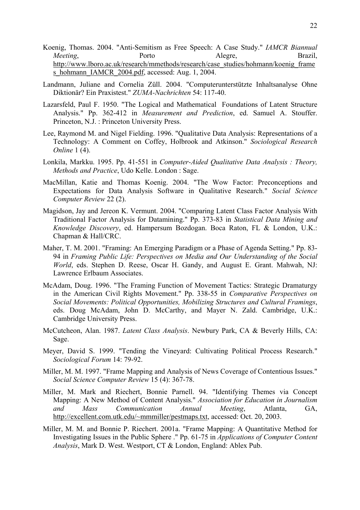- Koenig, Thomas. 2004. "Anti-Semitism as Free Speech: A Case Study." *IAMCR Biannual Meeting*, **Porto** Porto Alegre, Brazil, http://www.lboro.ac.uk/research/mmethods/research/case\_studies/hohmann/koenig\_frame s\_hohmann\_IAMCR\_2004.pdf, accessed: Aug. 1, 2004.
- Landmann, Juliane and Cornelia Züll. 2004. "Computerunterstützte Inhaltsanalyse Ohne Diktionär? Ein Praxistest." *ZUMA-Nachrichten* 54: 117-40.
- Lazarsfeld, Paul F. 1950. "The Logical and Mathematical Foundations of Latent Structure Analysis." Pp. 362-412 in *Measurement and Prediction*, ed. Samuel A. Stouffer. Princeton, N.J. : Princeton University Press.
- Lee, Raymond M. and Nigel Fielding. 1996. "Qualitative Data Analysis: Representations of a Technology: A Comment on Coffey, Holbrook and Atkinson." *Sociological Research Online* 1 (4).
- Lonkila, Markku. 1995. Pp. 41-551 in *Computer-Aided Qualitative Data Analysis : Theory, Methods and Practice*, Udo Kelle. London : Sage.
- MacMillan, Katie and Thomas Koenig. 2004. "The Wow Factor: Preconceptions and Expectations for Data Analysis Software in Qualitative Research." *Social Science Computer Review* 22 (2).
- Magidson, Jay and Jereon K. Vermunt. 2004. "Comparing Latent Class Factor Analysis With Traditional Factor Analysis for Datamining." Pp. 373-83 in *Statistical Data Mining and Knowledge Discovery*, ed. Hampersum Bozdogan. Boca Raton, FL & London, U.K.: Chapman & Hall/CRC.
- Maher, T. M. 2001. "Framing: An Emerging Paradigm or a Phase of Agenda Setting." Pp. 83- 94 in *Framing Public Life: Perspectives on Media and Our Understanding of the Social World*, eds. Stephen D. Reese, Oscar H. Gandy, and August E. Grant. Mahwah, NJ: Lawrence Erlbaum Associates.
- McAdam, Doug. 1996. "The Framing Function of Movement Tactics: Strategic Dramaturgy in the American Civil Rights Movement." Pp. 338-55 in *Comparative Perspectives on Social Movements: Political Opportunities, Mobilizing Structures and Cultural Framings*, eds. Doug McAdam, John D. McCarthy, and Mayer N. Zald. Cambridge, U.K.: Cambridge University Press.
- McCutcheon, Alan. 1987. *Latent Class Analysis*. Newbury Park, CA & Beverly Hills, CA: Sage.
- Meyer, David S. 1999. "Tending the Vineyard: Cultivating Political Process Research." *Sociological Forum* 14: 79-92.
- Miller, M. M. 1997. "Frame Mapping and Analysis of News Coverage of Contentious Issues." *Social Science Computer Review* 15 (4): 367-78.
- Miller, M. Mark and Riechert, Bonnie Parnell. 94. "Identifying Themes via Concept Mapping: A New Method of Content Analysis." *Association for Education in Journalism and Mass Communication Annual Meeting*, Atlanta, GA, http://excellent.com.utk.edu/~mmmiller/pestmaps.txt, accessed: Oct. 20, 2003.
- Miller, M. M. and Bonnie P. Riechert. 2001a. "Frame Mapping: A Quantitative Method for Investigating Issues in the Public Sphere ." Pp. 61-75 in *Applications of Computer Content Analysis*, Mark D. West. Westport, CT & London, England: Ablex Pub.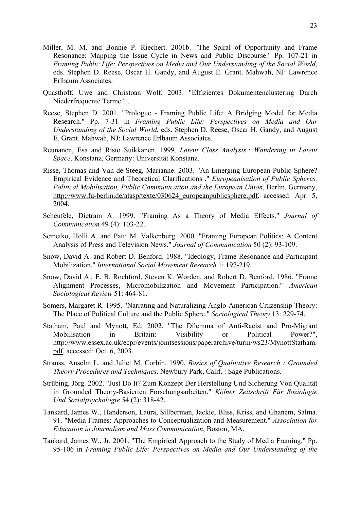- Miller, M. M. and Bonnie P. Riechert. 2001b. "The Spiral of Opportunity and Frame Resonance: Mapping the Issue Cycle in News and Public Discourse." Pp. 107-21 in *Framing Public Life: Perspectives on Media and Our Understanding of the Social World*, eds. Stephen D. Reese, Oscar H. Gandy, and August E. Grant. Mahwah, NJ: Lawrence Erlbaum Associates.
- Quasthoff, Uwe and Christoan Wolf. 2003. "Effizientes Dokumentenclustering Durch Niederfrequente Terme." .
- Reese, Stephen D. 2001. "Prologue Framing Public Life: A Bridging Model for Media Research." Pp. 7-31 in *Framing Public Life: Perspectives on Media and Our Understanding of the Social World*, eds. Stephen D. Reese, Oscar H. Gandy, and August E. Grant. Mahwah, NJ: Lawrence Erlbaum Associates.
- Reunanen, Esa and Risto Suikkanen. 1999. *Latent Class Analysis.: Wandering in Latent Space*. Konstanz, Germany: Universität Konstanz.
- Risse, Thomas and Van de Steeg, Marianne. 2003. "An Emerging European Public Sphere? Empirical Evidence and Theoretical Clarifications ." *Europeanisation of Public Spheres, Political Mobilisation, Public Communication and the European Union*, Berlin, Germany, http://www.fu-berlin.de/atasp/texte/030624 europeanpublicsphere.pdf, accessed: Apr. 5, 2004.
- Scheufele, Dietram A. 1999. "Framing As a Theory of Media Effects." *Journal of Communication* 49 (4): 103-22.
- Semetko, Holli A. and Patti M. Valkenburg. 2000. "Framing European Politics: A Content Analysis of Press and Television News." *Journal of Communication* 50 (2): 93-109.
- Snow, David A. and Robert D. Benford. 1988. "Ideology, Frame Resonance and Participant Mobilization." *International Social Movement Research* 1: 197-219.
- Snow, David A., E. B. Rochford, Steven K. Worden, and Robert D. Benford. 1986. "Frame Alignment Processes, Micromobilization and Movement Participation." *American Sociological Review* 51: 464-81.
- Somers, Margaret R. 1995. "Narrating and Naturalizing Anglo-American Citizenship Theory: The Place of Political Culture and the Public Sphere." *Sociological Theory* 13: 229-74.
- Statham, Paul and Mynott, Ed. 2002. "The Dilemma of Anti-Racist and Pro-Migrant Mobilisation in Britain: Visibility or Political Power?", http://www.essex.ac.uk/ecpr/events/jointsessions/paperarchive/turin/ws23/MynottStatham. pdf, accessed: Oct. 6, 2003.
- Strauss, Anselm L. and Juliet M. Corbin. 1990. *Basics of Qualitative Research : Grounded Theory Procedures and Techniques*. Newbury Park, Calif. : Sage Publications.
- Strübing, Jörg. 2002. "Just Do It? Zum Konzept Der Herstellung Und Sicherung Von Qualität in Grounded Theory-Basierten Forschungsarbeiten." *Kölner Zeitschrift Für Soziologie Und Sozialpsychologie* 54 (2): 318-42.
- Tankard, James W., Handerson, Laura, Sillberman, Jackie, Bliss, Kriss, and Ghanem, Salma. 91. "Media Frames: Approaches to Conceptualization and Measurement." *Association for Education in Journalism and Mass Communication*, Boston, MA.
- Tankard, James W., Jr. 2001. "The Empirical Approach to the Study of Media Framing." Pp. 95-106 in *Framing Public Life: Perspectives on Media and Our Understanding of the*